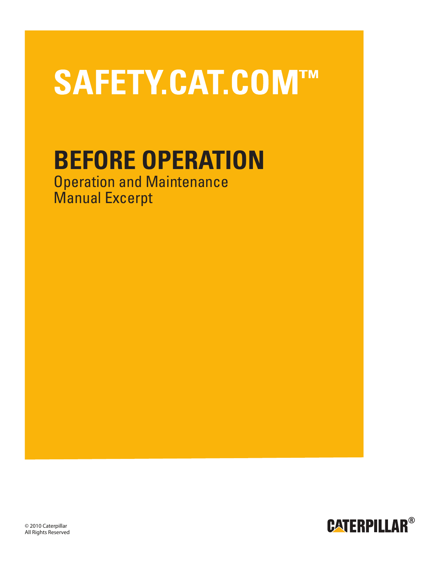# SAFETY.CAT.COM™

## **BEFORE OPERATION**

Operation and Maintenance Manual Excerpt



© 2010 Caterpillar **®** All Rights Reserved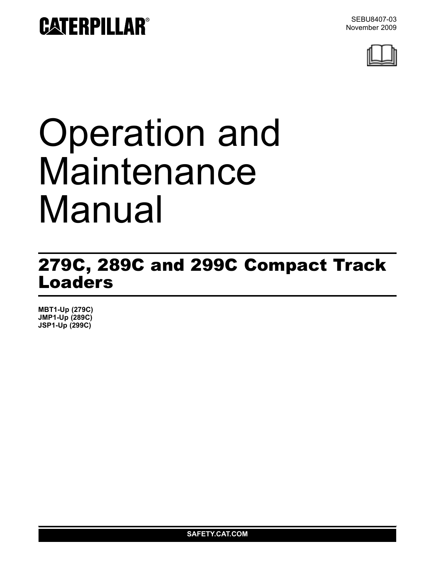

# Operation and Maintenance Manual

### 279C, 289C and 299C Compact Track Loaders

**MBT1-Up (279C) JMP1-Up (289C) JSP1-Up (299C)**

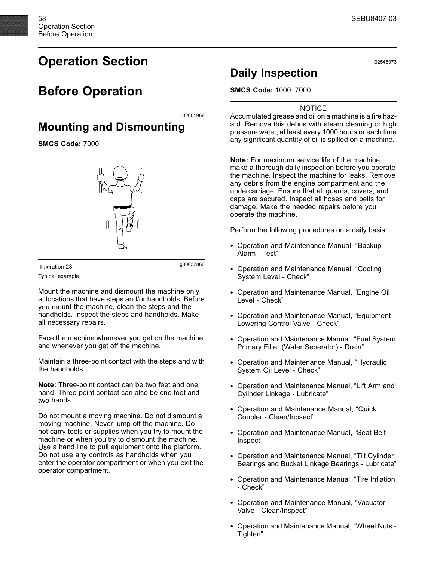#### **Operation Section**

#### **Before Operation**

i02601969

#### **Mounting and Dismounting**

**SMCS Code:** 7000

g00037860 Illustration 23

Typical example

Mount the machine and dismount the machine only at locations that have steps and/or handholds. Before you mount the machine, clean the steps and the handholds. Inspect the steps and handholds. Make all necessary repairs.

Face the machine whenever you get on the machine and whenever you get off the machine.

Maintain a three-point contact with the steps and with the handholds.

**Note:** Three-point contact can be two feet and one hand. Three-point contact can also be one foot and two hands.

Do not mount a moving machine. Do not dismount a moving machine. Never jump off the machine. Do not carry tools or supplies when you try to mount the machine or when you try to dismount the machine. Use a hand line to pull equipment onto the platform. Do not use any controls as handholds when you enter the operator compartment or when you exit the operator compartment.

#### **Daily Inspection**

**SMCS Code:** 1000; 7000

#### **NOTICE**

Accumulated grease and oil on a machine is a fire hazard. Remove this debris with steam cleaning or high pressure water, at least every 1000 hours or each time any significant quantity of oil is spilled on a machine.

**Note:** For maximum service life of the machine, make a thorough daily inspection before you operate the machine. Inspect the machine for leaks. Remove any debris from the engine compartment and the undercarriage. Ensure that all guards, covers, and caps are secured. Inspect all hoses and belts for damage. Make the needed repairs before you operate the machine.

Perform the following procedures on a daily basis.

- Operation and Maintenance Manual, "Backup Alarm - Test"
- Operation and Maintenance Manual, "Cooling System Level - Check"
- Operation and Maintenance Manual, "Engine Oil Level - Check"
- Operation and Maintenance Manual, "Equipment Lowering Control Valve - Check"
- Operation and Maintenance Manual, "Fuel System Primary Filter (Water Seperator) - Drain"
- Operation and Maintenance Manual, "Hydraulic System Oil Level - Check"
- Operation and Maintenance Manual, "Lift Arm and Cylinder Linkage - Lubricate"
- Operation and Maintenance Manual, "Quick Coupler - Clean/Inpsect"
- Operation and Maintenance Manual, "Seat Belt Inspect"
- Operation and Maintenance Manual, "Tilt Cylinder Bearings and Bucket Linkage Bearings - Lubricate"
- Operation and Maintenance Manual, "Tire Inflation - Check"
- Operation and Maintenance Manual, "Vacuator Valve - Clean/Inspect"
- Operation and Maintenance Manual, "Wheel Nuts Tighten"

i02546973